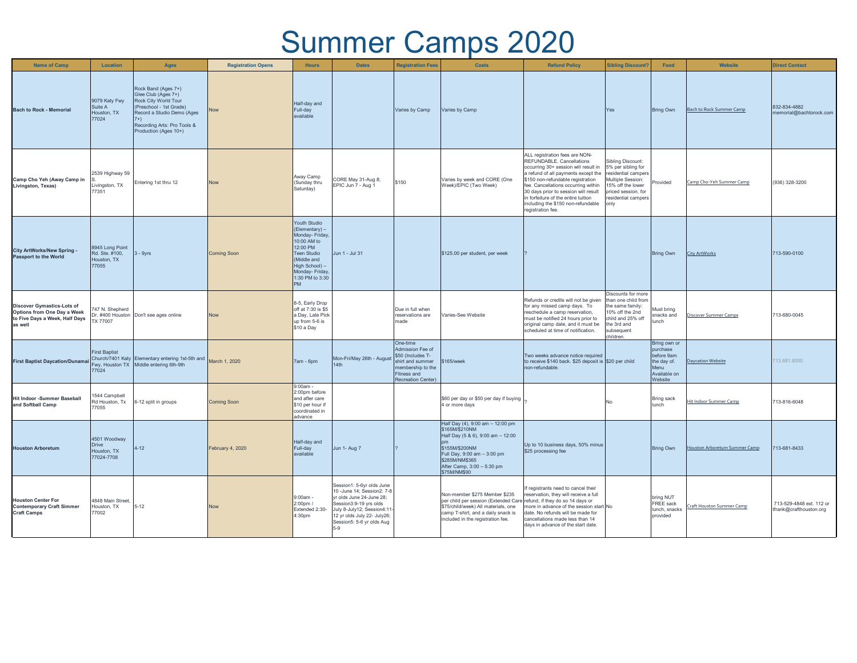## Summer Camps 2020

| <b>Name of Camp</b>                                                                                           | Location                                                  | <b>Ages</b>                                                                                                                                                                                  | <b>Registration Opens</b> | <b>Hours</b>                                                                                                                                                                    | <b>Dates</b>                                                                                                                                                                                                      | <b>Registration Fees</b>                                                                                                        | <b>Costs</b>                                                                                                                                                                                                             | <b>Refund Policy</b>                                                                                                                                                                                                                                                                                                                                            | <b>Sibling Discount?</b>                                                                                                                                              | Food                                                                                     | <b>Website</b>                  | <b>Direct Contact</b>                               |
|---------------------------------------------------------------------------------------------------------------|-----------------------------------------------------------|----------------------------------------------------------------------------------------------------------------------------------------------------------------------------------------------|---------------------------|---------------------------------------------------------------------------------------------------------------------------------------------------------------------------------|-------------------------------------------------------------------------------------------------------------------------------------------------------------------------------------------------------------------|---------------------------------------------------------------------------------------------------------------------------------|--------------------------------------------------------------------------------------------------------------------------------------------------------------------------------------------------------------------------|-----------------------------------------------------------------------------------------------------------------------------------------------------------------------------------------------------------------------------------------------------------------------------------------------------------------------------------------------------------------|-----------------------------------------------------------------------------------------------------------------------------------------------------------------------|------------------------------------------------------------------------------------------|---------------------------------|-----------------------------------------------------|
| <b>Bach to Rock - Memorial</b>                                                                                | 9079 Katy Fwy<br>Suite A<br>Houston, TX<br>77024          | Rock Band (Ages 7+)<br>Glee Club (Ages 7+)<br>Rock City World Tour<br>(Preschool - 1st Grade)<br>Record a Studio Demo (Ages<br>$7+)$<br>Recording Arts: Pro Tools &<br>Production (Ages 10+) | <b>Now</b>                | Half-day and<br>Full-day<br>available                                                                                                                                           |                                                                                                                                                                                                                   | Varies by Camp                                                                                                                  | Varies by Camp                                                                                                                                                                                                           |                                                                                                                                                                                                                                                                                                                                                                 | Yes                                                                                                                                                                   | <b>Bring Own</b>                                                                         | <b>Bach to Rock Summer Camp</b> | 832-834-4882<br>memorial@bachtorock.com             |
| Camp Cho Yeh (Away Camp in<br>Livingston, Texas)                                                              | 2539 Highway 59<br>Livingston, TX<br>77351                | Entering 1st thru 12                                                                                                                                                                         | Now                       | Away Camp<br>(Sunday thru<br>Saturday)                                                                                                                                          | CORE May 31-Aug 8;<br>EPIC Jun 7 - Aug 1                                                                                                                                                                          | \$150                                                                                                                           | Varies by week and CORE (One<br>Week)/EPIC (Two Week)                                                                                                                                                                    | ALL registration fees are NON-<br>REFUNDABLE. Cancellations<br>occurring 30+ session will result in<br>a refund of all payments except the<br>\$150 non-refundable registration<br>ee. Cancellations occurring within<br>30 days prior to session will result<br>in forfeiture of the entire tuition<br>including the \$150 non-refundable<br>registration fee. | <b>Sibling Discount:</b><br>5% per sibling for<br>residential campers<br>Multiple Session:<br>15% off the lower<br>priced session, for<br>residential campers<br>only | Provided                                                                                 | Camp Cho-Yeh Summer Camp        | (936) 328-3200                                      |
| City ArtWorks/New Spring -<br><b>Passport to the World</b>                                                    | 8945 Long Point<br>Rd. Ste. #100,<br>Houston, TX<br>77055 | $3 - 9yrs$                                                                                                                                                                                   | <b>Coming Soon</b>        | Youth Studio<br>(Elementary) -<br>Monday- Friday,<br>10:00 AM to<br>12:00 PM<br>Teen Studio<br>(Middle and<br>High School) -<br>Monday- Friday,<br>1:30 PM to 3:30<br><b>PM</b> | Jun 1 - Jul 31                                                                                                                                                                                                    |                                                                                                                                 | \$125.00 per student, per week                                                                                                                                                                                           |                                                                                                                                                                                                                                                                                                                                                                 |                                                                                                                                                                       | <b>Bring Own</b>                                                                         | <b>City ArtWorks</b>            | 713-590-0100                                        |
| <b>Discover Gymastics-Lots of</b><br>Options from One Day a Week<br>to Five Days a Week, Half Days<br>as well | 747 N. Shepherd<br>TX 77007                               | Dr. #400 Houston Don't see ages online                                                                                                                                                       | Now                       | 8-5, Early Drop<br>off at 7:30 is \$5<br>a Day, Late Pick<br>up from 5-6 is<br>\$10 a Day                                                                                       |                                                                                                                                                                                                                   | Due in full when<br>reservations are<br>made                                                                                    | Varies-See Website                                                                                                                                                                                                       | Refunds or credits will not be given<br>for any missed camp days. To<br>reschedule a camp reservation.<br>must be notified 24 hours prior to<br>original camp date, and it must be<br>scheduled at time of notification.                                                                                                                                        | Discounts for more<br>than one child from<br>the same family:<br>10% off the 2nd<br>child and 25% off<br>the 3rd and<br>subsequent<br>children.                       | Must bring<br>snacks and<br>lunch                                                        | Discover Summer Camps           | 713-680-0045                                        |
| <b>First Baptist Daycation/Dunamai</b>                                                                        | <b>First Baptist</b><br>Fwy, Houston TX<br>77024          | Church/7401 Katy Elementary entering 1st-5th and March 1, 2020<br>Middle entering 6th-9th                                                                                                    |                           | 7am - 6pm                                                                                                                                                                       | Mon-Fri/May 26th - August<br>14th                                                                                                                                                                                 | One-time<br>Admission Fee of<br>\$50 (Includes T-<br>shirt and summer<br>membership to the<br>Fitness and<br>Recreation Center) | \$165/week                                                                                                                                                                                                               | Two weeks advance notice required<br>to receive \$140 back. \$25 deposit is \$20 per child<br>non-refundable.                                                                                                                                                                                                                                                   |                                                                                                                                                                       | Bring own or<br>purchase<br>before 9am<br>the day of.<br>Menu<br>Available on<br>Website | <b>Daycation Website</b>        | 713.681.8000                                        |
| <b>Hit Indoor -Summer Baseball</b><br>and Softball Camp                                                       | 1544 Campbell<br>Rd Houston, Tx<br>77055                  | 6-12 split in groups                                                                                                                                                                         | <b>Coming Soon</b>        | $9:00am -$<br>2:00pm before<br>and after care<br>\$10 per hour if<br>coordinated in<br>advance                                                                                  |                                                                                                                                                                                                                   |                                                                                                                                 | \$60 per day or \$50 per day if buying<br>4 or more days                                                                                                                                                                 |                                                                                                                                                                                                                                                                                                                                                                 | No                                                                                                                                                                    | Bring sack<br>lunch                                                                      | <b>Hit Indoor Summer Camp</b>   | 713-816-6048                                        |
| <b>Houston Arboretum</b>                                                                                      | 4501 Woodway<br><b>Drive</b><br>Houston, TX<br>77024-7708 | $4 - 12$                                                                                                                                                                                     | February 4, 2020          | Half-day and<br>Full-day<br>available                                                                                                                                           | Jun 1- Aug 7                                                                                                                                                                                                      |                                                                                                                                 | Half Day (4), 9:00 am - 12:00 pm<br>\$165M/\$210NM<br>Half Day (5 & 6), 9:00 am - 12:00<br>\$155M/\$200NM<br>Full Day, 9:00 am - 3:00 pm<br>\$285M/NM\$365<br>After Camp, 3:00 - 5:30 pm<br>\$75M/NM\$90                 | Up to 10 business days, 50% minus<br>\$25 processing fee                                                                                                                                                                                                                                                                                                        |                                                                                                                                                                       | <b>Bring Own</b>                                                                         | Houston Arboretum Summer Camp   | 713-681-8433                                        |
| <b>Houston Center For</b><br><b>Contemporary Craft Simmer</b><br><b>Craft Camps</b>                           | 4848 Main Street,<br>Houston, TX<br>77002                 | $5 - 12$                                                                                                                                                                                     | Now                       | $9:00am -$<br>2:00pm /<br>Extended 2:30-<br>4:30 <sub>pm</sub>                                                                                                                  | Session1: 5-6yr olds June<br>10 -June 14: Session2: 7-8<br>yr olds June 24-June 28;<br>Session3:9-19 yrs olds<br>July 8-July12; Session4:11<br>12 yr olds July 22- July 26;<br>Session5: 5-6 yr olds Aug<br>$5-9$ |                                                                                                                                 | Non-member \$275 Member \$235<br>per child per session (Extended Care refund, if they do so 14 days or<br>\$75/child/week) All materials, one<br>camp T-shirt, and a daily snack is<br>included in the registration fee. | f registrants need to cancel their<br>reservation, they will receive a full<br>more in advance of the session start No<br>date. No refunds will be made for<br>cancellations made less than 14<br>days in advance of the start date.                                                                                                                            |                                                                                                                                                                       | bring NUT<br>FREE sack<br>lunch, snacks<br>provided                                      | Craft Houston Summer Camp       | 713-529-4848 ext. 112 or<br>tfrank@crafthouston.org |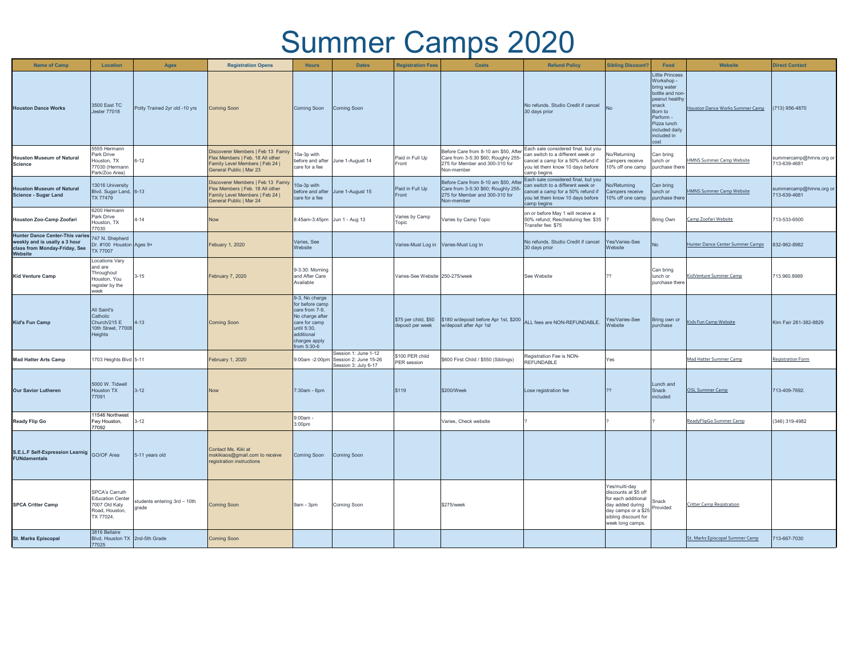## Summer Camps 2020

| <b>Name of Camp</b>                                                                                                 | Location                                                                                         | <b>Ages</b>                          | <b>Registration Opens</b>                                                                                                           | <b>Hours</b>                                                                                                                                         | <b>Dates</b>                                                          | <b>Registration Fees</b>                 | <b>Costs</b>                                                                                                                | <b>Refund Policy</b>                                                                                                                                             | <b>Sibling Discount?</b>                                                                                                                            | Food                                                                                                                                                                              | Website                          | <b>Direct Contact</b>                  |
|---------------------------------------------------------------------------------------------------------------------|--------------------------------------------------------------------------------------------------|--------------------------------------|-------------------------------------------------------------------------------------------------------------------------------------|------------------------------------------------------------------------------------------------------------------------------------------------------|-----------------------------------------------------------------------|------------------------------------------|-----------------------------------------------------------------------------------------------------------------------------|------------------------------------------------------------------------------------------------------------------------------------------------------------------|-----------------------------------------------------------------------------------------------------------------------------------------------------|-----------------------------------------------------------------------------------------------------------------------------------------------------------------------------------|----------------------------------|----------------------------------------|
| <b>Houston Dance Works</b>                                                                                          | 3500 East TC<br>Jester 77018                                                                     | Potty Trained 2yr old -10 yrs        | <b>Coming Soon</b>                                                                                                                  | Coming Soon                                                                                                                                          | Coming Soon                                                           |                                          |                                                                                                                             | No refunds. Studio Credit if cancel<br>30 days prior                                                                                                             | <b>No</b>                                                                                                                                           | <b>Little Princess</b><br>Workshop -<br>bring water<br>bottle and non-<br>peanut healthy<br>snack<br>Born to<br>Perform -<br>Pizza lunch<br>included daily<br>included in<br>cost | Houston Dance Works Summer Camp  | (713) 956-4870                         |
| <b>Houston Museum of Natural</b><br><b>Science</b>                                                                  | 5555 Hermann<br>Park Drive<br>Houston, TX<br>77030 (Hermann<br>Park/Zoo Area)                    | $6 - 12$                             | Discoverer Members   Feb 13 Famiy<br>Flex Members   Feb. 18 All other<br>Family Level Members   Feb 24  <br>General Public   Mar 23 | 10a-3p with<br>before and after<br>care for a fee                                                                                                    | June 1-August 14                                                      | Paid in Full Up<br>Front                 | Before Care from 8-10 am \$50, After<br>Care from 3-5:30 \$60; Roughly 255-<br>275 for Member and 300-310 for<br>Non-member | Each sale considered final, but you<br>can switch to a different week or<br>cancel a camp for a 50% refund if<br>you let them know 10 days before<br>camp begins | No/Returning<br>Campers receive<br>10% off one camp                                                                                                 | Can bring<br>lunch or<br>purchase there                                                                                                                                           | HMNS Summer Camp Website         | summercamp@hmns.org or<br>713-639-4681 |
| <b>Houston Museum of Natural</b><br><b>Science - Sugar Land</b>                                                     | 13016 University<br>Blvd. Sugar Land, 6-13<br>TX 77479                                           |                                      | Discoverer Members   Feb 13 Famiy<br>Flex Members   Feb. 18 All other<br>Family Level Members   Feb 24  <br>General Public   Mar 24 | 10a-3p with<br>before and after<br>care for a fee                                                                                                    | June 1-August 15                                                      | Paid in Full Up<br>Front                 | Before Care from 8-10 am \$50, After<br>Care from 3-5:30 \$60; Roughly 255-<br>275 for Member and 300-310 for<br>Non-member | Each sale considered final, but you<br>can switch to a different week or<br>cancel a camp for a 50% refund if<br>you let them know 10 days before<br>camp begins | No/Returning<br>Campers receive<br>10% off one camp                                                                                                 | Can bring<br>lunch or<br>purchase there                                                                                                                                           | <b>HMNS Summer Camp Website</b>  | summercamp@hmns.org or<br>713-639-4681 |
| Houston Zoo-Camp Zoofari                                                                                            | 6200 Hermann<br>Park Drive<br>Houston, TX<br>77030                                               | $4 - 14$                             | <b>Now</b>                                                                                                                          | 8:45am-3:45pm Jun 1 - Aug 13                                                                                                                         |                                                                       | Varies by Camp<br>Topic                  | Varies by Camp Topic                                                                                                        | on or before May 1 will receive a<br>50% refund; Rescheduling fee: \$35<br>Transfer fee: \$75                                                                    |                                                                                                                                                     | <b>Bring Own</b>                                                                                                                                                                  | Camp Zoofari Website             | 713-533-6500                           |
| <b>Hunter Dance Center-This varies</b><br>weekly and is usally a 3 hour<br>class from Monday-Friday, See<br>Website | 747 N. Shepherd<br>Dr. #100 Houston Ages 9+<br><b>TX 77007</b>                                   |                                      | Febuary 1, 2020                                                                                                                     | Varies, See<br>Website                                                                                                                               |                                                                       | Varies-Must Log in                       | Varies-Must Log In                                                                                                          | No refunds. Studio Credit if cancel<br>30 days prior                                                                                                             | Yes/Varies-See<br>Website                                                                                                                           | <b>No</b>                                                                                                                                                                         | Hunter Dance Center Summer Camps | 832-962-8982                           |
| <b>Kid Venture Camp</b>                                                                                             | Locations Vary<br>and are<br>Throughout<br>Houston, You<br>register by the<br>week               | $3 - 15$                             | February 7, 2020                                                                                                                    | 9-3:30: Morning<br>and After Care<br>Available                                                                                                       |                                                                       | Varies-See Website 250-275/week          |                                                                                                                             | See Website                                                                                                                                                      | つつ                                                                                                                                                  | Can bring<br>lunch or<br>purchase there                                                                                                                                           | KidVenture Summer Camp           | 713.960.8989                           |
| <b>Kid's Fun Camp</b>                                                                                               | All Saint's<br>Catholic<br>Church/215 E<br>10th Street, 77008<br>Heights                         | $4 - 13$                             | Coming Soon                                                                                                                         | 9-3, No charge<br>for before camp<br>care from 7-9,<br>No charge after<br>care for camp<br>until 5:30,<br>additional<br>charges apply<br>from 5:30-6 |                                                                       | \$75 per child, \$50<br>deposit per week | \$180 w/deposit before Apr 1st, \$200<br>w/deposit after Apr 1st                                                            | ALL fees are NON-REFUNDABLE.                                                                                                                                     | Yes/Varies-See<br>Website                                                                                                                           | Bring own or<br>purchase                                                                                                                                                          | <b>Kids Fun Camp Website</b>     | Kim Fair 281-382-8829                  |
| <b>Mad Hatter Arts Camp</b>                                                                                         | 1703 Heights Blvd 5-11                                                                           |                                      | February 1, 2020                                                                                                                    | 9:00am -2:00pm                                                                                                                                       | Session 1: June 1-12<br>Session 2: June 15-26<br>Session 3: July 6-17 | \$100 PER child<br>PER session           | \$600 First Child / \$550 (Siblings)                                                                                        | Registration Fee is NON-<br><b>REFUNDABLE</b>                                                                                                                    | Yes                                                                                                                                                 |                                                                                                                                                                                   | Mad Hatter Summer Camp           | <b>Registration Form</b>               |
| <b>Our Savior Lutheren</b>                                                                                          | 5000 W. Tidwell<br>Houston TX<br>77091                                                           | $3 - 12$                             | Now                                                                                                                                 | 7:30am - 6pm                                                                                                                                         |                                                                       | \$119                                    | \$200/Week                                                                                                                  | Lose registration fee                                                                                                                                            | 22                                                                                                                                                  | Lunch and<br>Snack<br>included                                                                                                                                                    | <b>OSL Summer Camp</b>           | 713-409-7692.                          |
| <b>Ready Flip Go</b>                                                                                                | 11546 Northwest<br>Fwy Houston,<br>77092                                                         | $3 - 12$                             |                                                                                                                                     | $9:00am -$<br>3:00 <sub>pm</sub>                                                                                                                     |                                                                       |                                          | Varies, Check website                                                                                                       |                                                                                                                                                                  |                                                                                                                                                     |                                                                                                                                                                                   | ReadyFlipGo Summer Camp          | (346) 319-4982                         |
| S.E.L.F Self-Expression Learnig GO/OF Area<br><b>FUNdamentals</b>                                                   |                                                                                                  | 5-11 years old                       | Contact Ms. Kiki at<br>mskikiaos@gmail.com to receive<br>registration instructions                                                  | Coming Soon                                                                                                                                          | <b>Coming Soon</b>                                                    |                                          |                                                                                                                             |                                                                                                                                                                  |                                                                                                                                                     |                                                                                                                                                                                   |                                  |                                        |
| <b>SPCA Critter Camp</b>                                                                                            | <b>SPCA's Carruth</b><br><b>Education Center</b><br>7007 Old Katy<br>Road, Houston,<br>TX 77024. | tudents entering 3rd - 10th<br>grade | <b>Coming Soon</b>                                                                                                                  | 9am - 3pm                                                                                                                                            | Coming Soon                                                           |                                          | \$275/week                                                                                                                  |                                                                                                                                                                  | Yes/multi-day<br>discounts at \$5 off<br>for each additional<br>day added during<br>day camps or a \$25<br>sibling discount for<br>week long camps. | Snack<br>Provided                                                                                                                                                                 | <b>Critter Camp Registration</b> |                                        |
| <b>St. Marks Episcopal</b>                                                                                          | 3816 Bellaire<br>Blvd, Houston TX 2nd-5th Grade<br>77025                                         |                                      | <b>Coming Soon</b>                                                                                                                  |                                                                                                                                                      |                                                                       |                                          |                                                                                                                             |                                                                                                                                                                  |                                                                                                                                                     |                                                                                                                                                                                   | St. Marks Episcopal Summer Camp  | 713-667-7030                           |